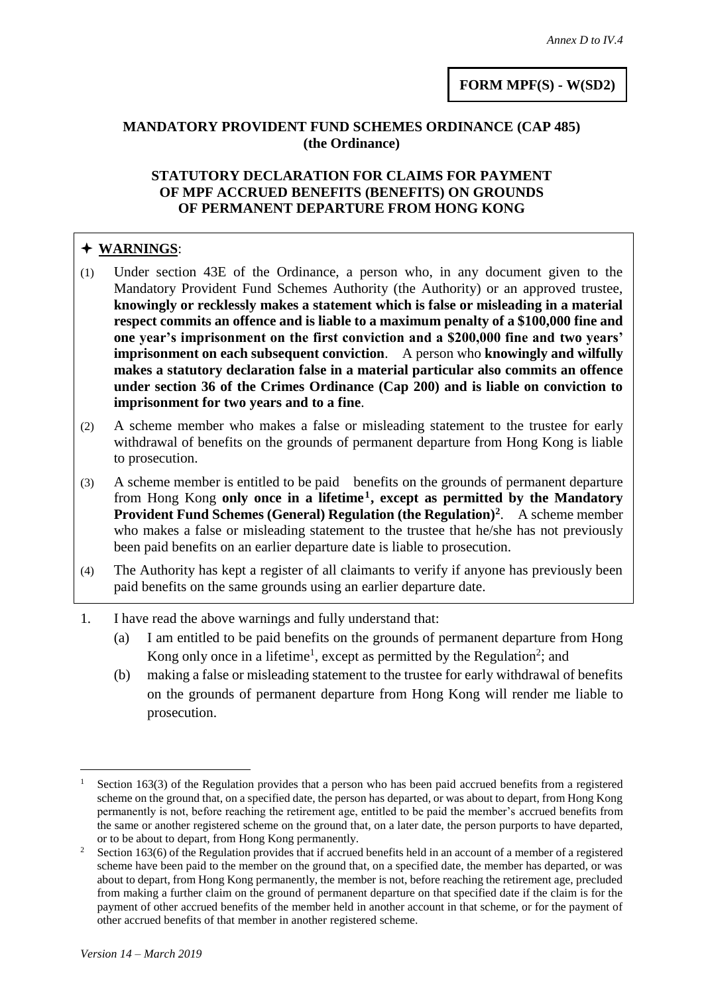## **MANDATORY PROVIDENT FUND SCHEMES ORDINANCE (CAP 485) (the Ordinance)**

## **STATUTORY DECLARATION FOR CLAIMS FOR PAYMENT OF MPF ACCRUED BENEFITS (BENEFITS) ON GROUNDS OF PERMANENT DEPARTURE FROM HONG KONG**

## **WARNINGS**:

- (1) Under section 43E of the Ordinance, a person who, in any document given to the Mandatory Provident Fund Schemes Authority (the Authority) or an approved trustee, **knowingly or recklessly makes a statement which is false or misleading in a material respect commits an offence and is liable to a maximum penalty of a \$100,000 fine and one year's imprisonment on the first conviction and a \$200,000 fine and two years' imprisonment on each subsequent conviction**. A person who **knowingly and wilfully makes a statutory declaration false in a material particular also commits an offence under section 36 of the Crimes Ordinance (Cap 200) and is liable on conviction to imprisonment for two years and to a fine**.
- (2) A scheme member who makes a false or misleading statement to the trustee for early withdrawal of benefits on the grounds of permanent departure from Hong Kong is liable to prosecution.
- (3) A scheme member is entitled to be paid benefits on the grounds of permanent departure from Hong Kong **only once in a lifetime<sup>1</sup> , except as permitted by the Mandatory Provident Fund Schemes (General) Regulation (the Regulation)<sup>2</sup>** . A scheme member who makes a false or misleading statement to the trustee that he/she has not previously been paid benefits on an earlier departure date is liable to prosecution.
- (4) The Authority has kept a register of all claimants to verify if anyone has previously been paid benefits on the same grounds using an earlier departure date.
- 1. I have read the above warnings and fully understand that:
	- (a) I am entitled to be paid benefits on the grounds of permanent departure from Hong Kong only once in a lifetime<sup>1</sup>, except as permitted by the Regulation<sup>2</sup>; and
	- (b) making a false or misleading statement to the trustee for early withdrawal of benefits on the grounds of permanent departure from Hong Kong will render me liable to prosecution.

l Section 163(3) of the Regulation provides that a person who has been paid accrued benefits from a registered scheme on the ground that, on a specified date, the person has departed, or was about to depart, from Hong Kong permanently is not, before reaching the retirement age, entitled to be paid the member's accrued benefits from the same or another registered scheme on the ground that, on a later date, the person purports to have departed, or to be about to depart, from Hong Kong permanently.

<sup>&</sup>lt;sup>2</sup> Section 163(6) of the Regulation provides that if accrued benefits held in an account of a member of a registered scheme have been paid to the member on the ground that, on a specified date, the member has departed, or was about to depart, from Hong Kong permanently, the member is not, before reaching the retirement age, precluded from making a further claim on the ground of permanent departure on that specified date if the claim is for the payment of other accrued benefits of the member held in another account in that scheme, or for the payment of other accrued benefits of that member in another registered scheme.